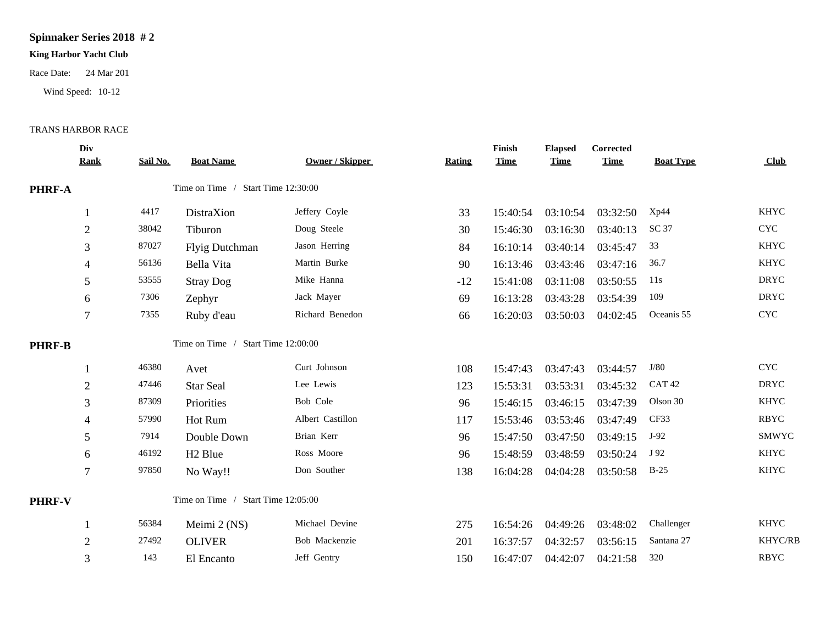## **Spinnaker Series 2018 # 2**

## **King Harbor Yacht Club**

Race Date: 24 Mar 201

Wind Speed: 10-12

## TRANS HARBOR RACE

|               | Div<br><b>Rank</b> | Sail No. | <b>Boat Name</b>                   | <b>Owner / Skipper</b> | <b>Rating</b> | Finish<br><b>Time</b> | <b>Elapsed</b><br><b>Time</b> | Corrected<br><b>Time</b> | <b>Boat Type</b>  | Club                      |
|---------------|--------------------|----------|------------------------------------|------------------------|---------------|-----------------------|-------------------------------|--------------------------|-------------------|---------------------------|
| PHRF-A        |                    |          | Time on Time / Start Time 12:30:00 |                        |               |                       |                               |                          |                   |                           |
|               |                    | 4417     | DistraXion                         | Jeffery Coyle          | 33            | 15:40:54              | 03:10:54                      | 03:32:50                 | Xp44              | <b>KHYC</b>               |
|               | $\overline{2}$     | 38042    | Tiburon                            | Doug Steele            | 30            | 15:46:30              | 03:16:30                      | 03:40:13                 | SC 37             | <b>CYC</b>                |
|               | 3                  | 87027    | Flyig Dutchman                     | Jason Herring          | 84            | 16:10:14              | 03:40:14                      | 03:45:47                 | 33                | <b>KHYC</b>               |
|               | 4                  | 56136    | Bella Vita                         | Martin Burke           | 90            | 16:13:46              | 03:43:46                      | 03:47:16                 | 36.7              | <b>KHYC</b>               |
|               | 5                  | 53555    | <b>Stray Dog</b>                   | Mike Hanna             | $-12$         | 15:41:08              | 03:11:08                      | 03:50:55                 | 11s               | <b>DRYC</b>               |
|               | 6                  | 7306     | Zephyr                             | Jack Mayer             | 69            | 16:13:28              | 03:43:28                      | 03:54:39                 | 109               | <b>DRYC</b>               |
|               | 7                  | 7355     | Ruby d'eau                         | Richard Benedon        | 66            | 16:20:03              | 03:50:03                      | 04:02:45                 | Oceanis 55        | $\ensuremath{\text{CYC}}$ |
| <b>PHRF-B</b> |                    |          | Time on Time / Start Time 12:00:00 |                        |               |                       |                               |                          |                   |                           |
|               |                    | 46380    | Avet                               | Curt Johnson           | 108           | 15:47:43              | 03:47:43                      | 03:44:57                 | J/80              | <b>CYC</b>                |
|               | $\overline{2}$     | 47446    | <b>Star Seal</b>                   | Lee Lewis              | 123           | 15:53:31              | 03:53:31                      | 03:45:32                 | CAT <sub>42</sub> | <b>DRYC</b>               |
|               | 3                  | 87309    | Priorities                         | Bob Cole               | 96            | 15:46:15              | 03:46:15                      | 03:47:39                 | Olson 30          | <b>KHYC</b>               |
|               | 4                  | 57990    | Hot Rum                            | Albert Castillon       | 117           | 15:53:46              | 03:53:46                      | 03:47:49                 | CF33              | <b>RBYC</b>               |
|               | 5                  | 7914     | Double Down                        | Brian Kerr             | 96            | 15:47:50              | 03:47:50                      | 03:49:15                 | J-92              | SMWYC                     |
|               | 6                  | 46192    | H <sub>2</sub> Blue                | Ross Moore             | 96            | 15:48:59              | 03:48:59                      | 03:50:24                 | J 92              | <b>KHYC</b>               |
|               | $\tau$             | 97850    | No Way!!                           | Don Souther            | 138           | 16:04:28              | 04:04:28                      | 03:50:58                 | $B-25$            | <b>KHYC</b>               |
| PHRF-V        |                    |          | Time on Time / Start Time 12:05:00 |                        |               |                       |                               |                          |                   |                           |
|               |                    | 56384    | Meimi 2 (NS)                       | Michael Devine         | 275           | 16:54:26              | 04:49:26                      | 03:48:02                 | Challenger        | <b>KHYC</b>               |
|               | $\overline{2}$     | 27492    | <b>OLIVER</b>                      | Bob Mackenzie          | 201           | 16:37:57              | 04:32:57                      | 03:56:15                 | Santana 27        | KHYC/RB                   |
|               | 3                  | 143      | El Encanto                         | Jeff Gentry            | 150           | 16:47:07              | 04:42:07                      | 04:21:58                 | 320               | <b>RBYC</b>               |
|               |                    |          |                                    |                        |               |                       |                               |                          |                   |                           |